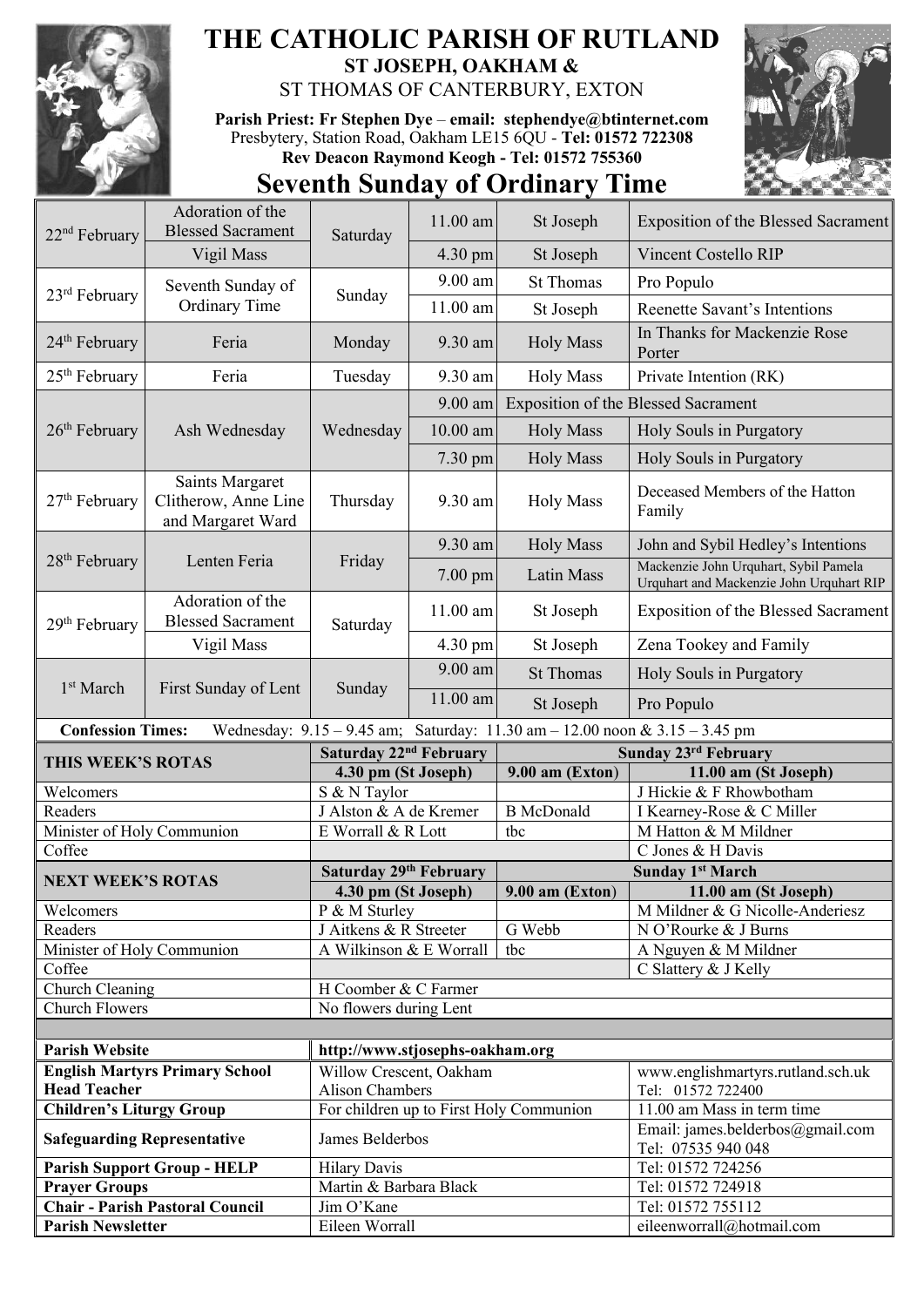

## **THE CATHOLIC PARISH OF RUTLAND ST JOSEPH, OAKHAM &**  ST THOMAS OF CANTERBURY, EXTON

**Parish Priest: Fr Stephen Dye** – **[email: stephendye@btinternet.com](mailto:email:%20%20stephendye@btinternet.com)** Presbytery, Station Road, Oakham LE15 6QU - **Tel: 01572 722308 Rev Deacon Raymond Keogh - Tel: 01572 755360**



## **Seventh Sunday of Ordinary Time**

| 22 <sup>nd</sup> February       | Adoration of the<br><b>Blessed Sacrament</b>                 | Saturday                           | 11.00 am   | St Joseph                                                                   | Exposition of the Blessed Sacrament                                               |
|---------------------------------|--------------------------------------------------------------|------------------------------------|------------|-----------------------------------------------------------------------------|-----------------------------------------------------------------------------------|
|                                 | Vigil Mass                                                   |                                    | 4.30 pm    | St Joseph                                                                   | <b>Vincent Costello RIP</b>                                                       |
| 23 <sup>rd</sup> February       | Seventh Sunday of<br><b>Ordinary Time</b>                    | Sunday                             | 9.00 am    | <b>St Thomas</b>                                                            | Pro Populo                                                                        |
|                                 |                                                              |                                    | 11.00 am   | St Joseph                                                                   | Reenette Savant's Intentions                                                      |
| 24 <sup>th</sup> February       | Feria                                                        | Monday                             | 9.30 am    | <b>Holy Mass</b>                                                            | In Thanks for Mackenzie Rose<br>Porter                                            |
| $25th$ February                 | Feria                                                        | Tuesday                            | 9.30 am    | <b>Holy Mass</b>                                                            | Private Intention (RK)                                                            |
| $26th$ February                 | Ash Wednesday                                                | Wednesday                          | $9.00$ am  | <b>Exposition of the Blessed Sacrament</b>                                  |                                                                                   |
|                                 |                                                              |                                    | $10.00$ am | <b>Holy Mass</b>                                                            | Holy Souls in Purgatory                                                           |
|                                 |                                                              |                                    | 7.30 pm    | <b>Holy Mass</b>                                                            | Holy Souls in Purgatory                                                           |
| 27 <sup>th</sup> February       | Saints Margaret<br>Clitherow, Anne Line<br>and Margaret Ward | Thursday                           | 9.30 am    | <b>Holy Mass</b>                                                            | Deceased Members of the Hatton<br>Family                                          |
|                                 | Lenten Feria                                                 | Friday                             | 9.30 am    | <b>Holy Mass</b>                                                            | John and Sybil Hedley's Intentions                                                |
| 28 <sup>th</sup> February       |                                                              |                                    | 7.00 pm    | Latin Mass                                                                  | Mackenzie John Urquhart, Sybil Pamela<br>Urquhart and Mackenzie John Urquhart RIP |
| 29 <sup>th</sup> February       | Adoration of the<br><b>Blessed Sacrament</b>                 | Saturday                           | 11.00 am   | St Joseph                                                                   | <b>Exposition of the Blessed Sacrament</b>                                        |
|                                 | Vigil Mass                                                   |                                    | 4.30 pm    | St Joseph                                                                   | Zena Tookey and Family                                                            |
| 1 <sup>st</sup> March           | First Sunday of Lent                                         | Sunday                             | 9.00 am    | <b>St Thomas</b>                                                            | Holy Souls in Purgatory                                                           |
|                                 |                                                              |                                    | 11.00 am   | St Joseph                                                                   | Pro Populo                                                                        |
|                                 |                                                              |                                    |            |                                                                             |                                                                                   |
| <b>Confession Times:</b>        |                                                              |                                    |            | Wednesday: 9.15 - 9.45 am; Saturday: 11.30 am - 12.00 noon & 3.15 - 3.45 pm |                                                                                   |
|                                 |                                                              | Saturday 22 <sup>nd</sup> February |            |                                                                             | Sunday 23rd February                                                              |
| THIS WEEK'S ROTAS               |                                                              | 4.30 pm (St Joseph)                |            | 9.00 am (Exton)                                                             | 11.00 am (St Joseph)                                                              |
| Welcomers                       |                                                              | S & N Taylor                       |            |                                                                             | J Hickie & F Rhowbotham                                                           |
| Readers                         |                                                              | J Alston & A de Kremer             |            | <b>B</b> McDonald                                                           | I Kearney-Rose & C Miller                                                         |
| Minister of Holy Communion      |                                                              | $\to$ Worrall & R Lott             |            | tbc                                                                         | M Hatton & M Mildner                                                              |
| Coffee                          |                                                              |                                    |            |                                                                             | C Jones & H Davis                                                                 |
|                                 |                                                              | Saturday 29th February             |            |                                                                             | <b>Sunday 1st March</b>                                                           |
| <b>NEXT WEEK'S ROTAS</b>        |                                                              | 4.30 pm (St Joseph)                |            | $9.00$ am (Exton)                                                           | 11.00 am (St Joseph)                                                              |
| Welcomers                       |                                                              | P & M Sturley                      |            |                                                                             | M Mildner & G Nicolle-Anderiesz                                                   |
| Readers                         |                                                              | J Aitkens & R Streeter             |            | G Webb                                                                      | N O'Rourke & J Burns                                                              |
| Minister of Holy Communion      |                                                              | A Wilkinson & E Worrall            |            | tbc                                                                         | A Nguyen & M Mildner                                                              |
| Coffee                          |                                                              |                                    |            |                                                                             | C Slattery & J Kelly                                                              |
| Church Cleaning                 |                                                              | H Coomber & C Farmer               |            |                                                                             |                                                                                   |
| <b>Church Flowers</b>           |                                                              | No flowers during Lent             |            |                                                                             |                                                                                   |
|                                 |                                                              |                                    |            |                                                                             |                                                                                   |
| <b>Parish Website</b>           |                                                              | http://www.stjosephs-oakham.org    |            |                                                                             |                                                                                   |
| <b>Head Teacher</b>             | <b>English Martyrs Primary School</b>                        | Willow Crescent, Oakham            |            |                                                                             | www.englishmartyrs.rutland.sch.uk                                                 |
| <b>Children's Liturgy Group</b> |                                                              | <b>Alison Chambers</b>             |            | For children up to First Holy Communion                                     | Tel: 01572 722400<br>11.00 am Mass in term time                                   |
|                                 | <b>Safeguarding Representative</b>                           | James Belderbos                    |            |                                                                             | Email: james.belderbos@gmail.com<br>Tel: 07535 940 048                            |
|                                 | <b>Parish Support Group - HELP</b>                           | <b>Hilary Davis</b>                |            |                                                                             | Tel: 01572 724256                                                                 |
| <b>Prayer Groups</b>            |                                                              | Martin & Barbara Black             |            |                                                                             | Tel: 01572 724918                                                                 |
|                                 | <b>Chair - Parish Pastoral Council</b>                       | Jim O'Kane                         |            |                                                                             | Tel: 01572 755112                                                                 |